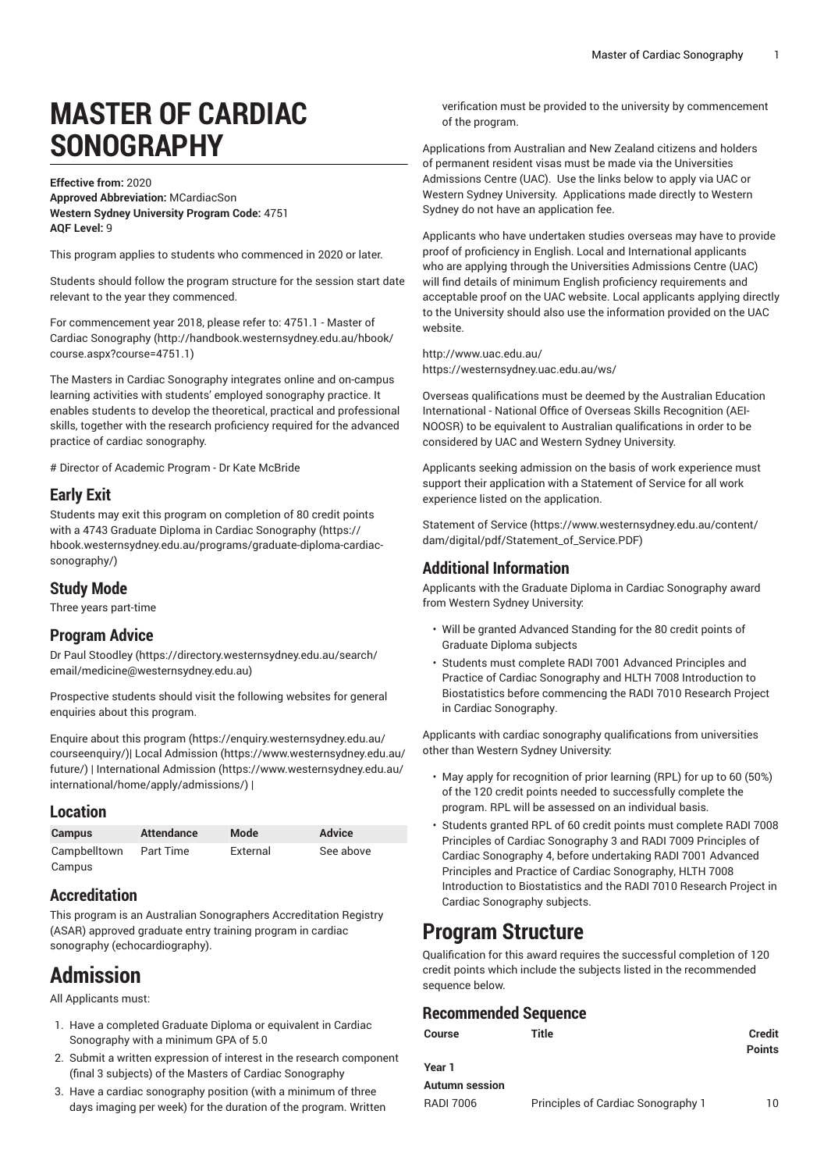# **MASTER OF CARDIAC SONOGRAPHY**

**Effective from:** 2020 **Approved Abbreviation:** MCardiacSon **Western Sydney University Program Code:** 4751 **AQF Level:** 9

This program applies to students who commenced in 2020 or later.

Students should follow the program structure for the session start date relevant to the year they commenced.

For [commencement](http://handbook.westernsydney.edu.au/hbook/course.aspx?course=4751.1) year 2018, please refer to: 4751.1 - Master of Cardiac [Sonography \(http://handbook.westernsydney.edu.au/hbook/](http://handbook.westernsydney.edu.au/hbook/course.aspx?course=4751.1) [course.aspx?course=4751.1](http://handbook.westernsydney.edu.au/hbook/course.aspx?course=4751.1))

The Masters in Cardiac Sonography integrates online and on-campus learning activities with students' employed sonography practice. It enables students to develop the theoretical, practical and professional skills, together with the research proficiency required for the advanced practice of cardiac sonography.

# Director of Academic Program - Dr Kate McBride

### **Early Exit**

Students may exit this program on completion of 80 credit points with a 4743 Graduate Diploma in Cardiac [Sonography \(https://](https://hbook.westernsydney.edu.au/programs/graduate-diploma-cardiac-sonography/) [hbook.westernsydney.edu.au/programs/graduate-diploma-cardiac](https://hbook.westernsydney.edu.au/programs/graduate-diploma-cardiac-sonography/)[sonography/\)](https://hbook.westernsydney.edu.au/programs/graduate-diploma-cardiac-sonography/)

#### **Study Mode**

Three years part-time

#### **Program Advice**

Dr Paul [Stoodley \(https://directory.westernsydney.edu.au/search/](https://directory.westernsydney.edu.au/search/email/medicine@westernsydney.edu.au) [email/medicine@westernsydney.edu.au\)](https://directory.westernsydney.edu.au/search/email/medicine@westernsydney.edu.au)

Prospective students should visit the following websites for general enquiries about this program.

Enquire about this [program \(https://enquiry.westernsydney.edu.au/](https://enquiry.westernsydney.edu.au/courseenquiry/) [courseenquiry/](https://enquiry.westernsydney.edu.au/courseenquiry/))| [Local Admission \(https://www.westernsydney.edu.au/](https://www.westernsydney.edu.au/future/) [future/\)](https://www.westernsydney.edu.au/future/) | [International Admission](https://www.westernsydney.edu.au/international/home/apply/admissions/) ([https://www.westernsydney.edu.au/](https://www.westernsydney.edu.au/international/home/apply/admissions/) [international/home/apply/admissions/](https://www.westernsydney.edu.au/international/home/apply/admissions/)) |

#### **Location**

| <b>Campus</b> | <b>Attendance</b> | Mode     | <b>Advice</b> |
|---------------|-------------------|----------|---------------|
| Campbelltown  | Part Time         | External | See above     |
| Campus        |                   |          |               |

## **Accreditation**

This program is an Australian Sonographers Accreditation Registry (ASAR) approved graduate entry training program in cardiac sonography (echocardiography).

# **Admission**

All Applicants must:

- 1. Have a completed Graduate Diploma or equivalent in Cardiac Sonography with a minimum GPA of 5.0
- 2. Submit a written expression of interest in the research component (final 3 subjects) of the Masters of Cardiac Sonography
- 3. Have a cardiac sonography position (with a minimum of three days imaging per week) for the duration of the program. Written

verification must be provided to the university by commencement of the program.

Applications from Australian and New Zealand citizens and holders of permanent resident visas must be made via the Universities Admissions Centre (UAC). Use the links below to apply via UAC or Western Sydney University. Applications made directly to Western Sydney do not have an application fee.

Applicants who have undertaken studies overseas may have to provide proof of proficiency in English. Local and International applicants who are applying through the Universities Admissions Centre (UAC) will find details of minimum English proficiency requirements and acceptable proof on the UAC website. Local applicants applying directly to the University should also use the information provided on the UAC website.

<http://www.uac.edu.au/> <https://westernsydney.uac.edu.au/ws/>

Overseas qualifications must be deemed by the Australian Education International - National Office of Overseas Skills Recognition (AEI-NOOSR) to be equivalent to Australian qualifications in order to be considered by UAC and Western Sydney University.

Applicants seeking admission on the basis of work experience must support their application with a Statement of Service for all work experience listed on the application.

[Statement](https://www.westernsydney.edu.au/content/dam/digital/pdf/Statement_of_Service.PDF) of Service [\(https://www.westernsydney.edu.au/content/](https://www.westernsydney.edu.au/content/dam/digital/pdf/Statement_of_Service.PDF) [dam/digital/pdf/Statement\\_of\\_Service.PDF](https://www.westernsydney.edu.au/content/dam/digital/pdf/Statement_of_Service.PDF))

### **Additional Information**

Applicants with the Graduate Diploma in Cardiac Sonography award from Western Sydney University:

- Will be granted Advanced Standing for the 80 credit points of Graduate Diploma subjects
- Students must complete RADI 7001 Advanced Principles and Practice of Cardiac Sonography and HLTH 7008 Introduction to Biostatistics before commencing the RADI 7010 Research Project in Cardiac Sonography.

Applicants with cardiac sonography qualifications from universities other than Western Sydney University:

- May apply for recognition of prior learning (RPL) for up to 60 (50%) of the 120 credit points needed to successfully complete the program. RPL will be assessed on an individual basis.
- Students granted RPL of 60 credit points must complete RADI 7008 Principles of Cardiac Sonography 3 and RADI 7009 Principles of Cardiac Sonography 4, before undertaking RADI 7001 Advanced Principles and Practice of Cardiac Sonography, HLTH 7008 Introduction to Biostatistics and the RADI 7010 Research Project in Cardiac Sonography subjects.

# **Program Structure**

Qualification for this award requires the successful completion of 120 credit points which include the subjects listed in the recommended sequence below.

## **Recommended Sequence**

| Course           | Title                              | Credit<br><b>Points</b> |
|------------------|------------------------------------|-------------------------|
| Year 1           |                                    |                         |
| Autumn session   |                                    |                         |
| <b>RADI 7006</b> | Principles of Cardiac Sonography 1 | 10                      |